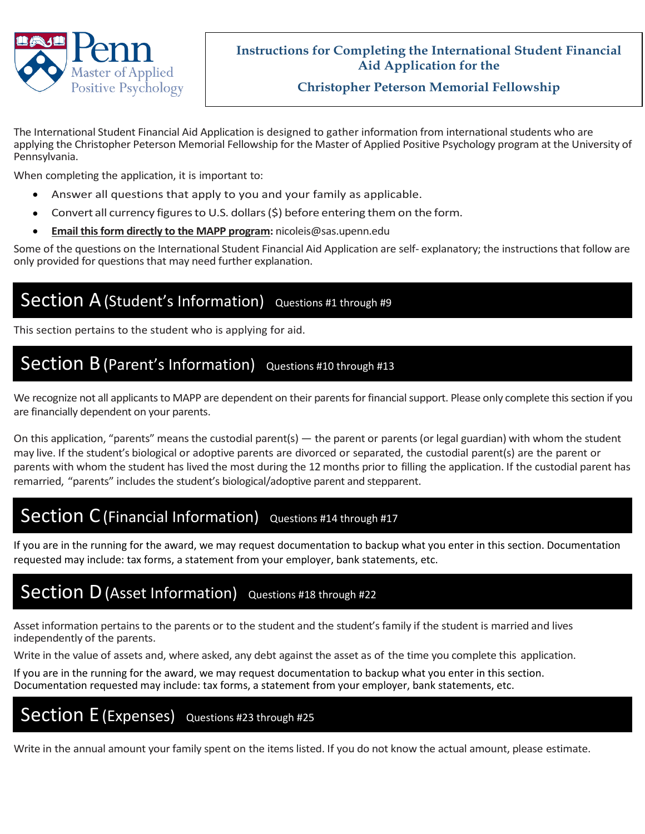

### **Instructions for Completing the International Student Financial Aid Application for the**

### **Christopher Peterson Memorial Fellowship**

The International Student Financial Aid Application is designed to gather information from international students who are applying the Christopher Peterson Memorial Fellowship for the Master of Applied Positive Psychology program at the University of Pennsylvania.

When completing the application, it is important to:

- Answer all questions that apply to you and your family as applicable.
- Convert all currency figures to U.S. dollars  $(5)$  before entering them on the form.
- **Email this form directly to the MAPP program:** nicoleis@sas.upenn.edu

Some of the questions on the International Student Financial Aid Application are self- explanatory; the instructions that follow are only provided for questions that may need further explanation.

### Section A (Student's Information) **Questions #1 through #9**

This section pertains to the student who is applying for aid.

## Section B (Parent's Information) Questions #10 through #13

We recognize not all applicants to MAPP are dependent on their parents for financial support. Please only complete this section if you are financially dependent on your parents.

On this application, "parents" means the custodial parent(s) — the parent or parents (or legal guardian) with whom the student may live. If the student's biological or adoptive parents are divorced or separated, the custodial parent(s) are the parent or parents with whom the student has lived the most during the 12 months prior to filling the application. If the custodial parent has remarried, "parents" includes the student's biological/adoptive parent and stepparent.

## Section C (Financial Information) *Questions #14 through #17*

If you are in the running for the award, we may request documentation to backup what you enter in this section. Documentation requested may include: tax forms, a statement from your employer, bank statements, etc.

### Section D (Asset Information) Questions #18 through #22

Asset information pertains to the parents or to the student and the student's family if the student is married and lives independently of the parents.

Write in the value of assets and, where asked, any debt against the asset as of the time you complete this application.

If you are in the running for the award, we may request documentation to backup what you enter in this section. Documentation requested may include: tax forms, a statement from your employer, bank statements, etc.

## Section E (Expenses) Questions #23 through #25

Write in the annual amount your family spent on the items listed. If you do not know the actual amount, please estimate.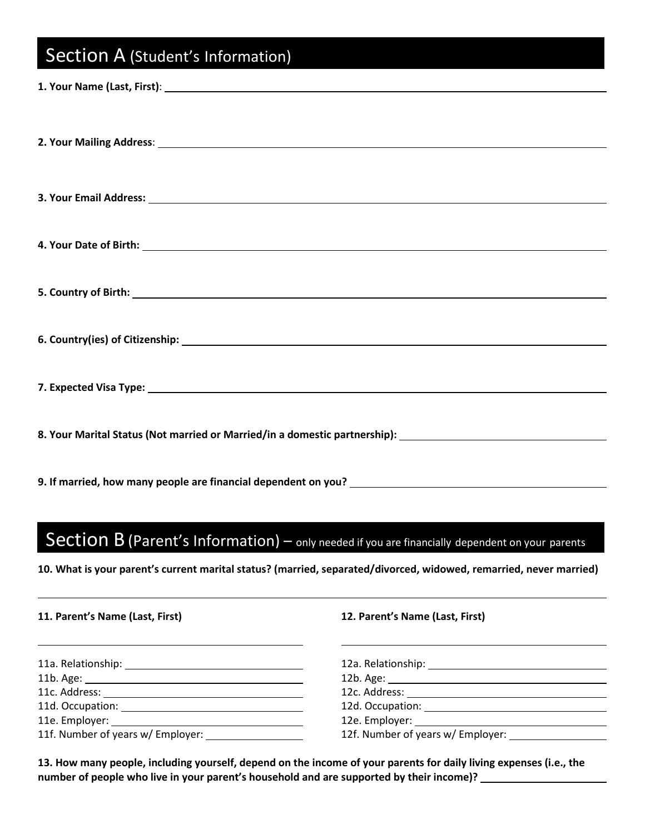# Section A (Student's Information)

| 1. Your Name (Last, First): 1. 2014 19:30 19:30 19:30 19:30 19:30 19:30 19:30 19:30 19:30 19:30 19:30 19:30 19:30 19:30 19:30 19:30 19:30 19:30 19:30 19:30 19:30 19:30 19:30 19:30 19:30 19:30 19:30 19:30 19:30 19:30 19:30 |
|-------------------------------------------------------------------------------------------------------------------------------------------------------------------------------------------------------------------------------|
|                                                                                                                                                                                                                               |
|                                                                                                                                                                                                                               |
|                                                                                                                                                                                                                               |
|                                                                                                                                                                                                                               |
|                                                                                                                                                                                                                               |
|                                                                                                                                                                                                                               |
| 6. Country(ies) of Citizenship: 1999. The Country of Citizenship: 1999. The Country of Citizenship:                                                                                                                           |
|                                                                                                                                                                                                                               |
| 8. Your Marital Status (Not married or Married/in a domestic partnership): ___________________________________                                                                                                                |
|                                                                                                                                                                                                                               |

# Section B (Parent's Information) – only needed if you are financially dependent on your parents

**10. What is your parent's current marital status? (married, separated/divorced, widowed, remarried, never married)**

| 11. Parent's Name (Last, First) | 12. Parent's Name (Last, First)   |  |
|---------------------------------|-----------------------------------|--|
|                                 |                                   |  |
|                                 |                                   |  |
|                                 |                                   |  |
|                                 |                                   |  |
|                                 |                                   |  |
|                                 | 12f. Number of years w/ Employer: |  |

**13. How many people, including yourself, depend on the income of your parents for daily living expenses (i.e., the number of people who live in your parent's household and are supported by their income)?**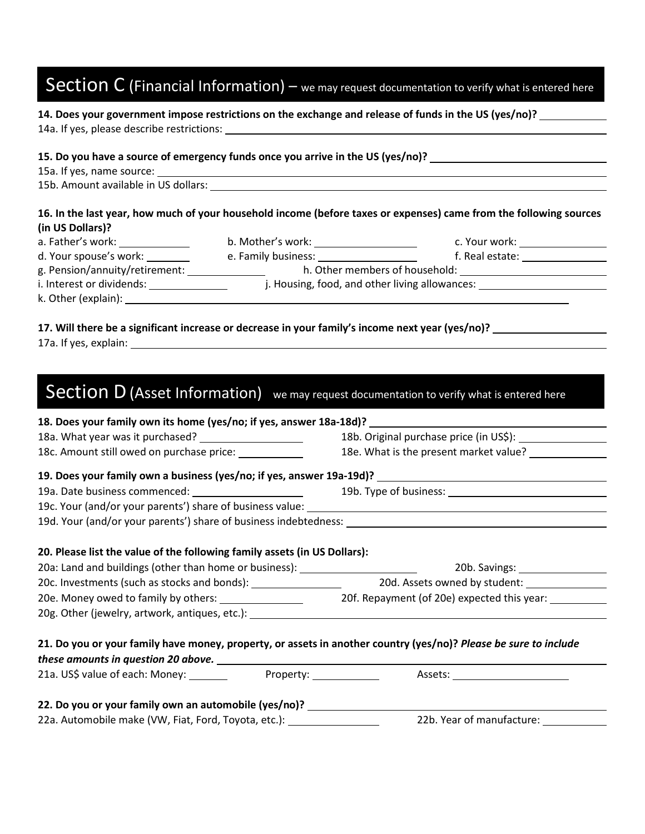## Section C (Financial Information) – we may request documentation to verify what is entered here

### **14. Does your government impose restrictions on the exchange and release of funds in the US (yes/no)?**

14a. If yes, please describe restrictions:

#### **15. Do you have a source of emergency funds once you arrive in the US (yes/no)?**

|  | 15a. If yes, name source: |
|--|---------------------------|
|--|---------------------------|

15b. Amount available in US dollars:

### **16. In the last year, how much of your household income (before taxes or expenses) came from the following sources (in US Dollars)?**

| a. Father's work:              | b. Mother's work:                              | c. Your work:   |  |
|--------------------------------|------------------------------------------------|-----------------|--|
| d. Your spouse's work:         | e. Family business:                            | f. Real estate: |  |
| g. Pension/annuity/retirement: | h. Other members of household:                 |                 |  |
| i. Interest or dividends:      | j. Housing, food, and other living allowances: |                 |  |
| k. Other (explain):            |                                                |                 |  |

#### **17. Will there be a significant increase or decrease in your family's income next year (yes/no)?**

# Section D (Asset Information) we may request documentation to verify what is entered here

|                                                                                                                                                               |  | 18. Does your family own its home (yes/no; if yes, answer 18a-18d)? ________________________________             |  |
|---------------------------------------------------------------------------------------------------------------------------------------------------------------|--|------------------------------------------------------------------------------------------------------------------|--|
| 18a. What year was it purchased? ________________________                                                                                                     |  | 18b. Original purchase price (in US\$): 18b. Original                                                            |  |
| 18c. Amount still owed on purchase price: ____________                                                                                                        |  | 18e. What is the present market value? _______________                                                           |  |
|                                                                                                                                                               |  |                                                                                                                  |  |
| 19a. Date business commenced: 19b. Type of business: 19b. Type of business:                                                                                   |  |                                                                                                                  |  |
|                                                                                                                                                               |  |                                                                                                                  |  |
|                                                                                                                                                               |  |                                                                                                                  |  |
| 20. Please list the value of the following family assets (in US Dollars):<br>20a: Land and buildings (other than home or business): _________________________ |  |                                                                                                                  |  |
| 20c. Investments (such as stocks and bonds): _____________________                                                                                            |  |                                                                                                                  |  |
| 20e. Money owed to family by others: ____________________                                                                                                     |  | 20f. Repayment (of 20e) expected this year:                                                                      |  |
| 20g. Other (jewelry, artwork, antiques, etc.): _________________________________                                                                              |  |                                                                                                                  |  |
|                                                                                                                                                               |  | 21. Do you or your family have money, property, or assets in another country (yes/no)? Please be sure to include |  |
|                                                                                                                                                               |  | Assets: ___________________________                                                                              |  |
| 22. Do you or your family own an automobile (yes/no)? ____________________                                                                                    |  |                                                                                                                  |  |
| 22a. Automobile make (VW, Fiat, Ford, Toyota, etc.):                                                                                                          |  | 22b. Year of manufacture:                                                                                        |  |